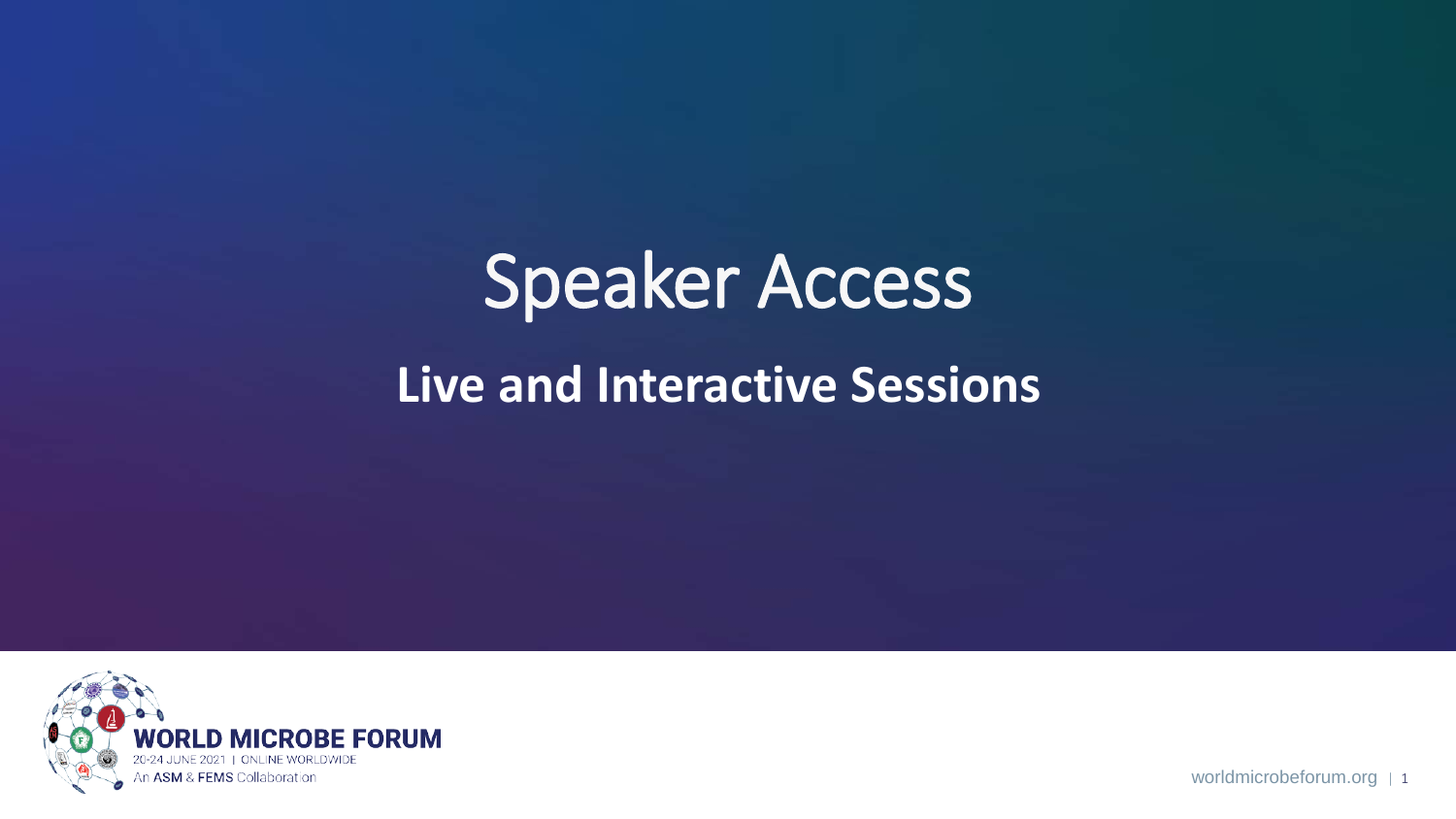# Speaker Access **Live and Interactive Sessions**



worldmicrobeforum.org | 1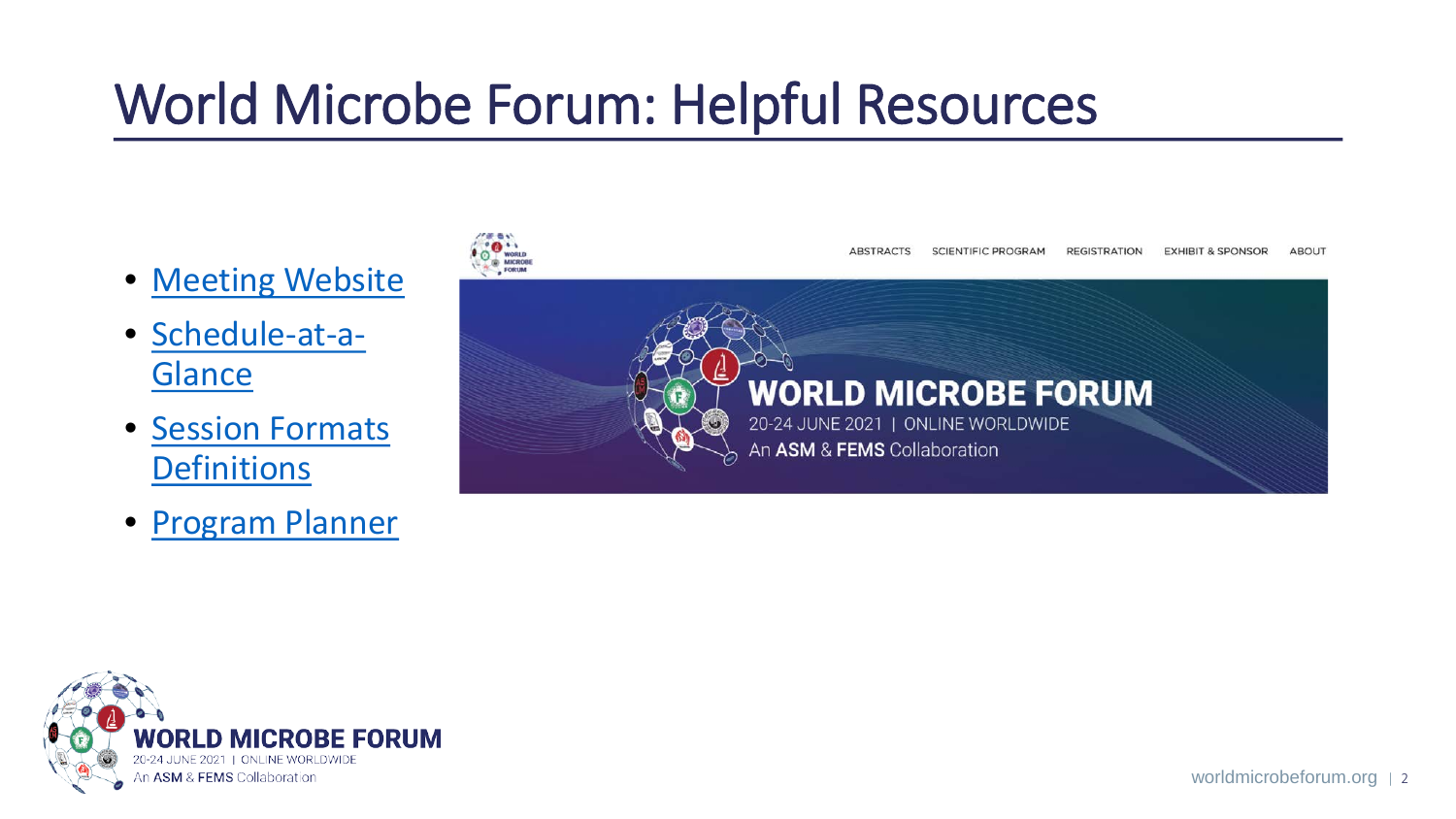# World Microbe Forum: Helpful Resources

- [Meeting Website](https://www.worldmicrobeforum.org/index.php/program/session-formats)
- [Schedule-at-a-](https://www.worldmicrobeforum.org/index.php/program/schedule-at-a-glance)**Glance**
- [Session Formats](https://www.worldmicrobeforum.org/index.php/program/session-formats)  **Definitions**
- [Program Planner](https://www.abstractsonline.com/pp8/#!/9286)



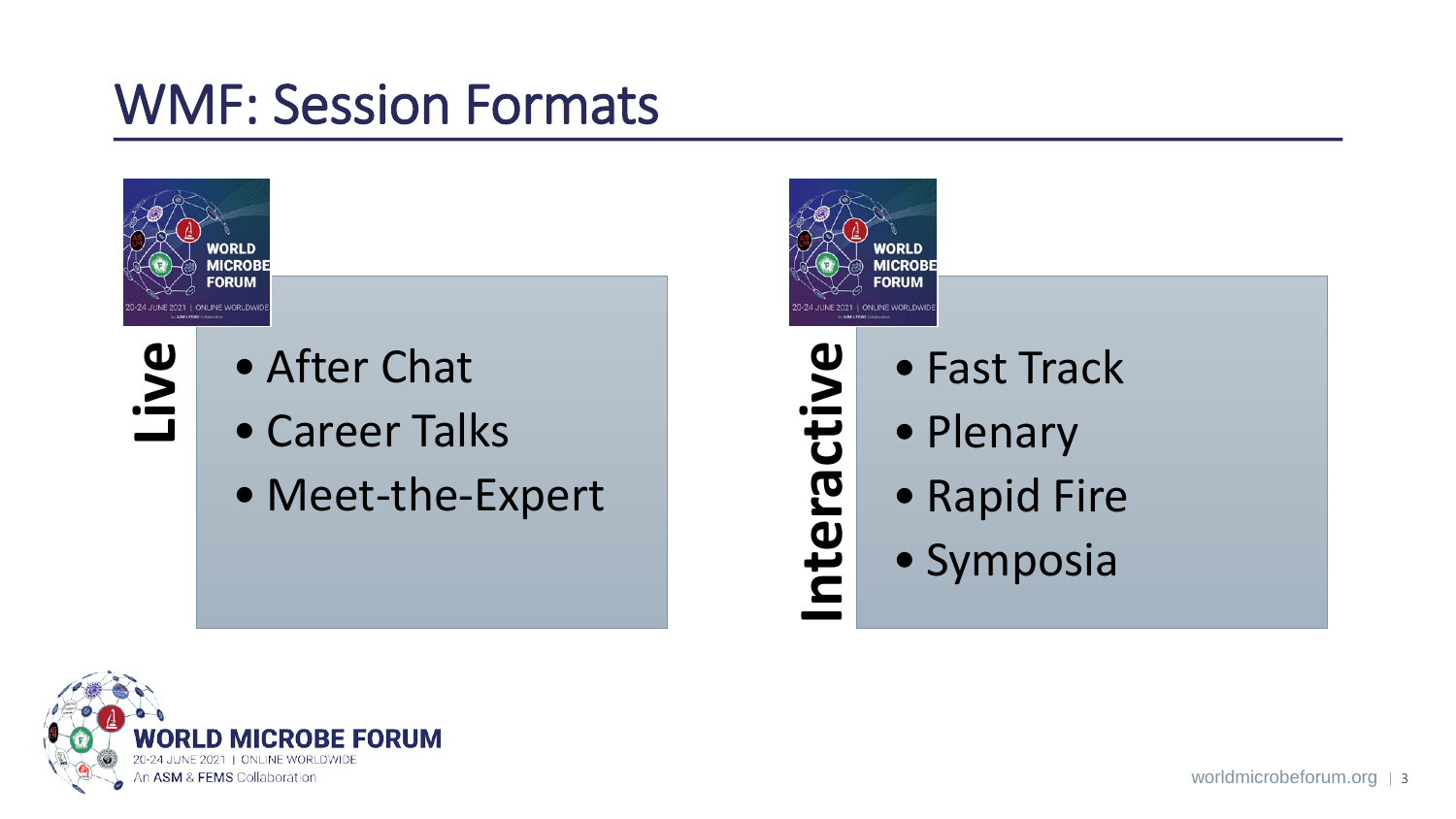### WMF: Session Formats





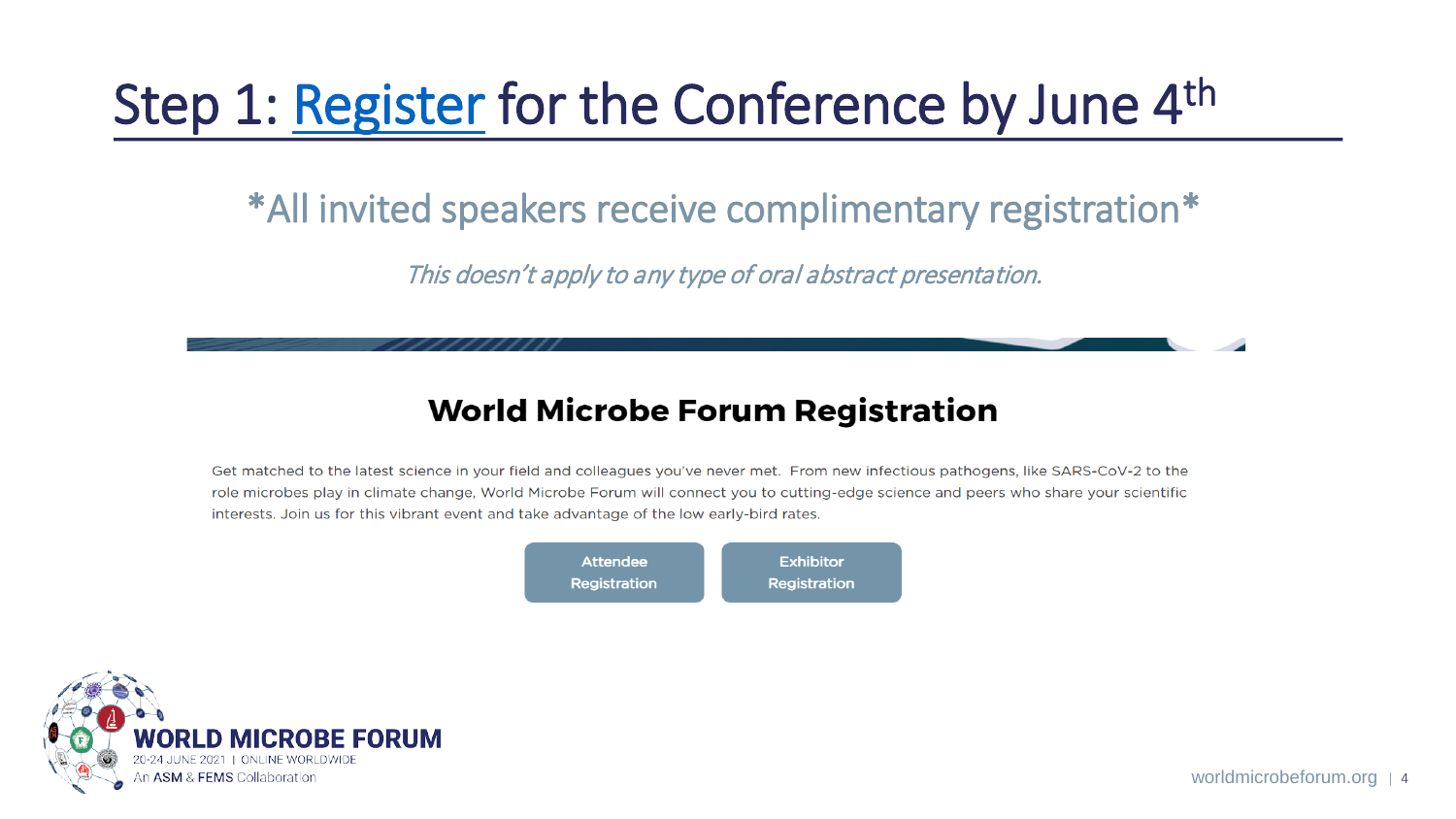## Step 1: [Register](https://www.worldmicrobeforum.org/index.php/register/registration) for the Conference by June 4<sup>th</sup>

#### \*All invited speakers receive complimentary registration\*

This doesn't apply to any type of oral abstract presentation.

#### **World Microbe Forum Registration**

Get matched to the latest science in your field and colleagues you've never met. From new infectious pathogens, like SARS-CoV-2 to the role microbes play in climate change, World Microbe Forum will connect you to cutting-edge science and peers who share your scientific interests. Join us for this vibrant event and take advantage of the low early-bird rates.



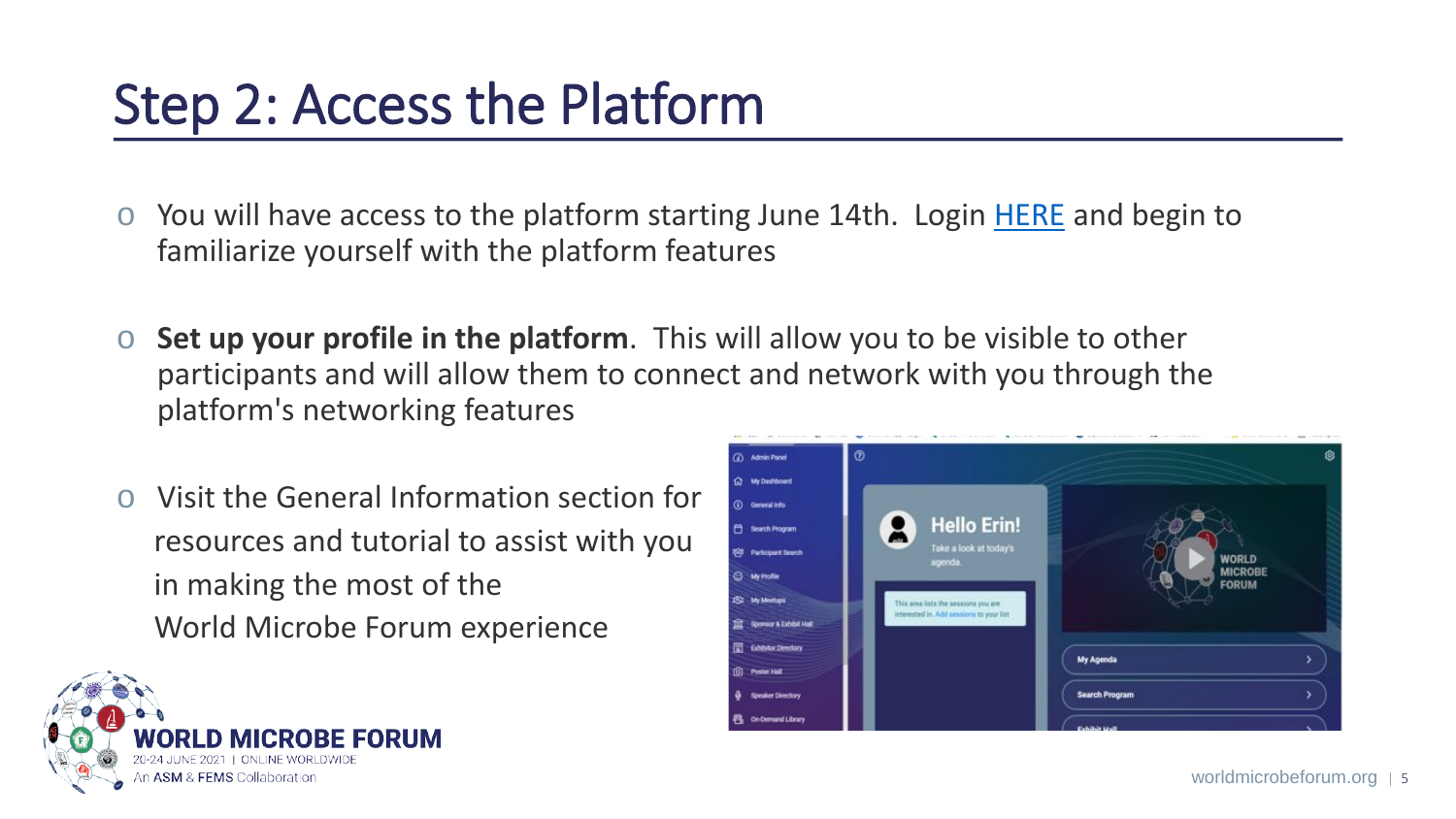### Step 2: Access the Platform

- o You will have access to the platform starting June 14th. Login [HERE](https://event.worldmicrobeforum.org/login) and begin to familiarize yourself with the platform features
- o **Set up your profile in the platform**. This will allow you to be visible to other participants and will allow them to connect and network with you through the platform's networking features
- Visit the General Information section for resources and tutorial to assist with you in making the most of the World Microbe Forum experience



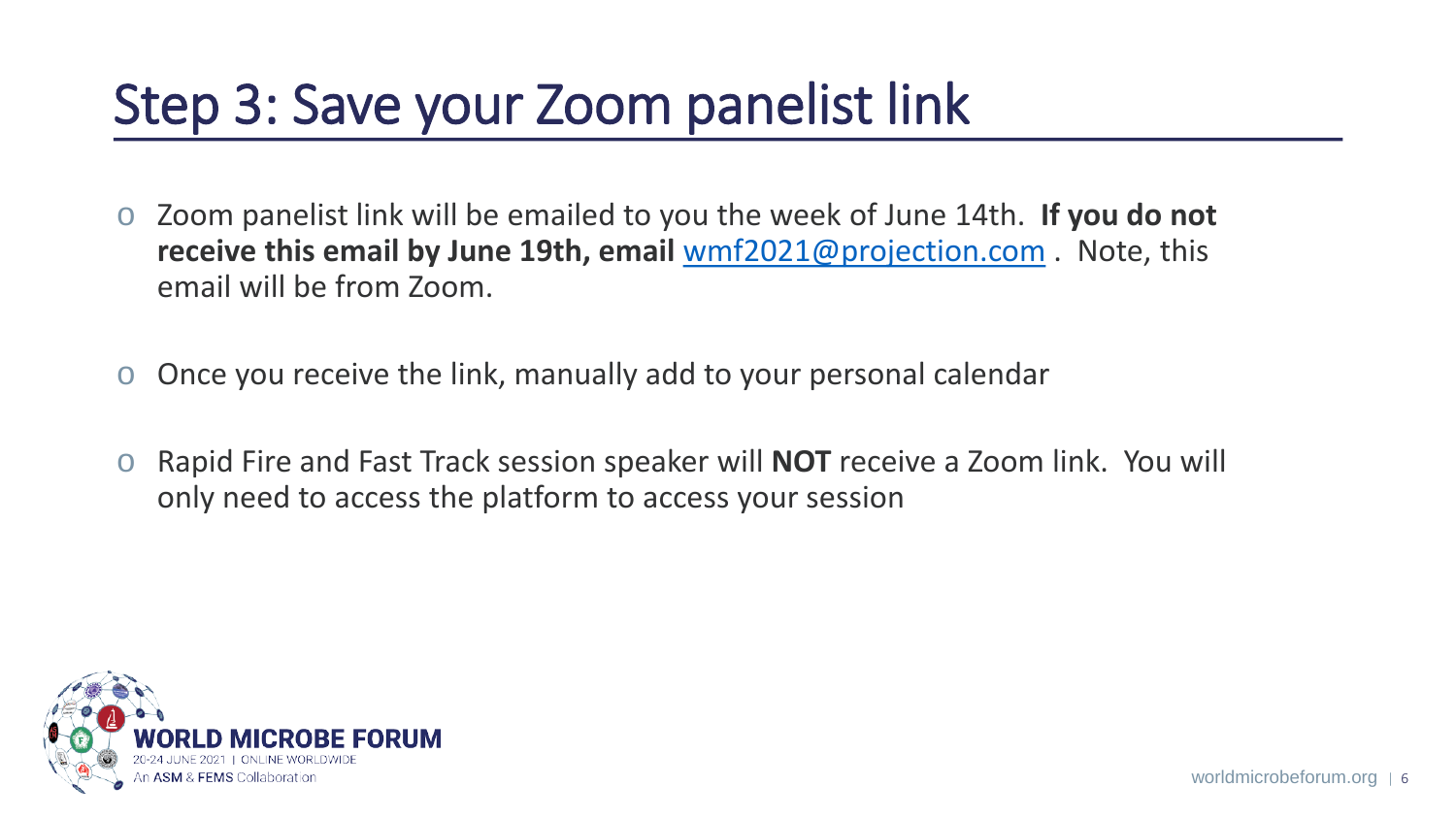### Step 3: Save your Zoom panelist link

- o Zoom panelist link will be emailed to you the week of June 14th. **If you do not receive this email by June 19th, email** [wmf2021@projection.com](mailto:wmf2021@projection.com) . Note, this email will be from Zoom.
- o Once you receive the link, manually add to your personal calendar
- o Rapid Fire and Fast Track session speaker will **NOT** receive a Zoom link. You will only need to access the platform to access your session

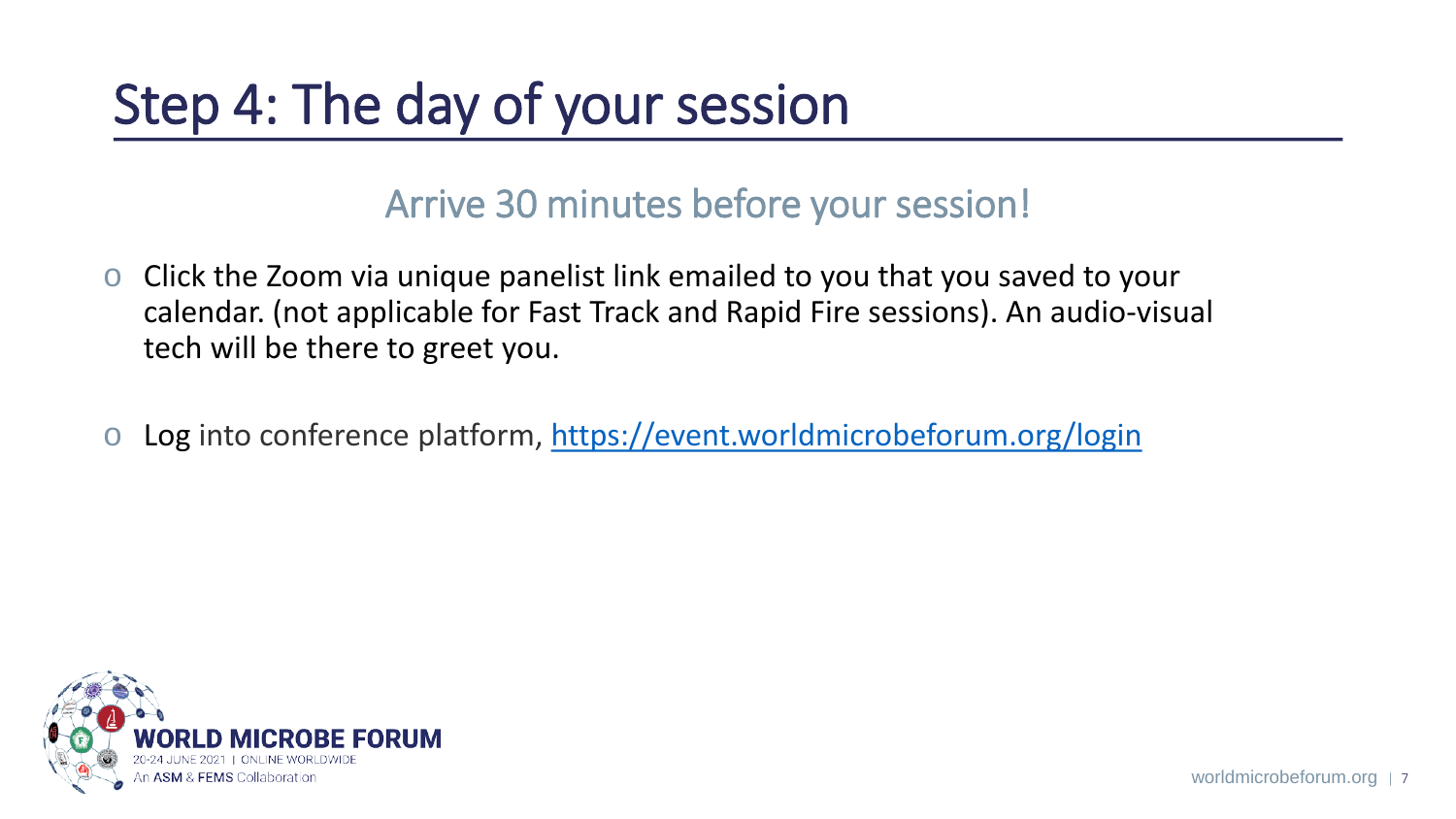# Step 4: The day of your session

#### Arrive 30 minutes before your session!

- o Click the Zoom via unique panelist link emailed to you that you saved to your calendar. (not applicable for Fast Track and Rapid Fire sessions). An audio-visual tech will be there to greet you.
- o Log into conference platform, [https://event.worldmicrobeforum.org/login](https://nam11.safelinks.protection.outlook.com/?url=https%3A%2F%2Fevent.worldmicrobeforum.org%2Flogin&data=04%7C01%7Cedalder-alpher%40asmusa.org%7C10ee1dd560364c3413dc08d91fc359b7%7C8de26b03ae474a28b9cd4d0b4002d59f%7C0%7C0%7C637575747170529546%7CUnknown%7CTWFpbGZsb3d8eyJWIjoiMC4wLjAwMDAiLCJQIjoiV2luMzIiLCJBTiI6Ik1haWwiLCJXVCI6Mn0%3D%7C1000&sdata=kQFKjIgsnZ58kpd7dP1%2BHTYWW0k0SRkEpMoA1VeH%2BLY%3D&reserved=0)

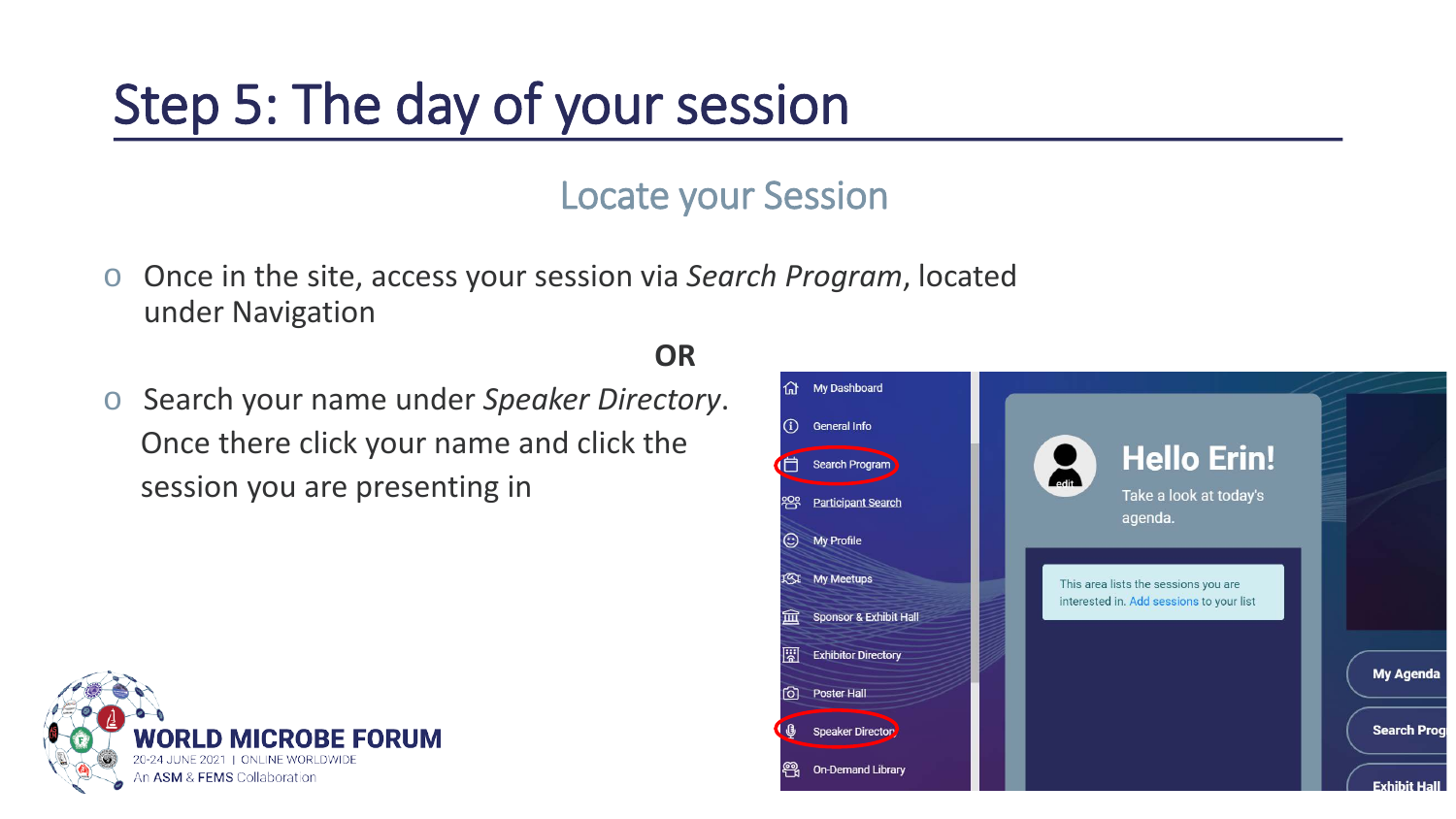# Step 5: The day of your session

#### Locate your Session

**OR**

- o Once in the site, access your session via *Search Program*, located under Navigation
- o Search your name under *Speaker Directory*. Once there click your name and click the session you are presenting in



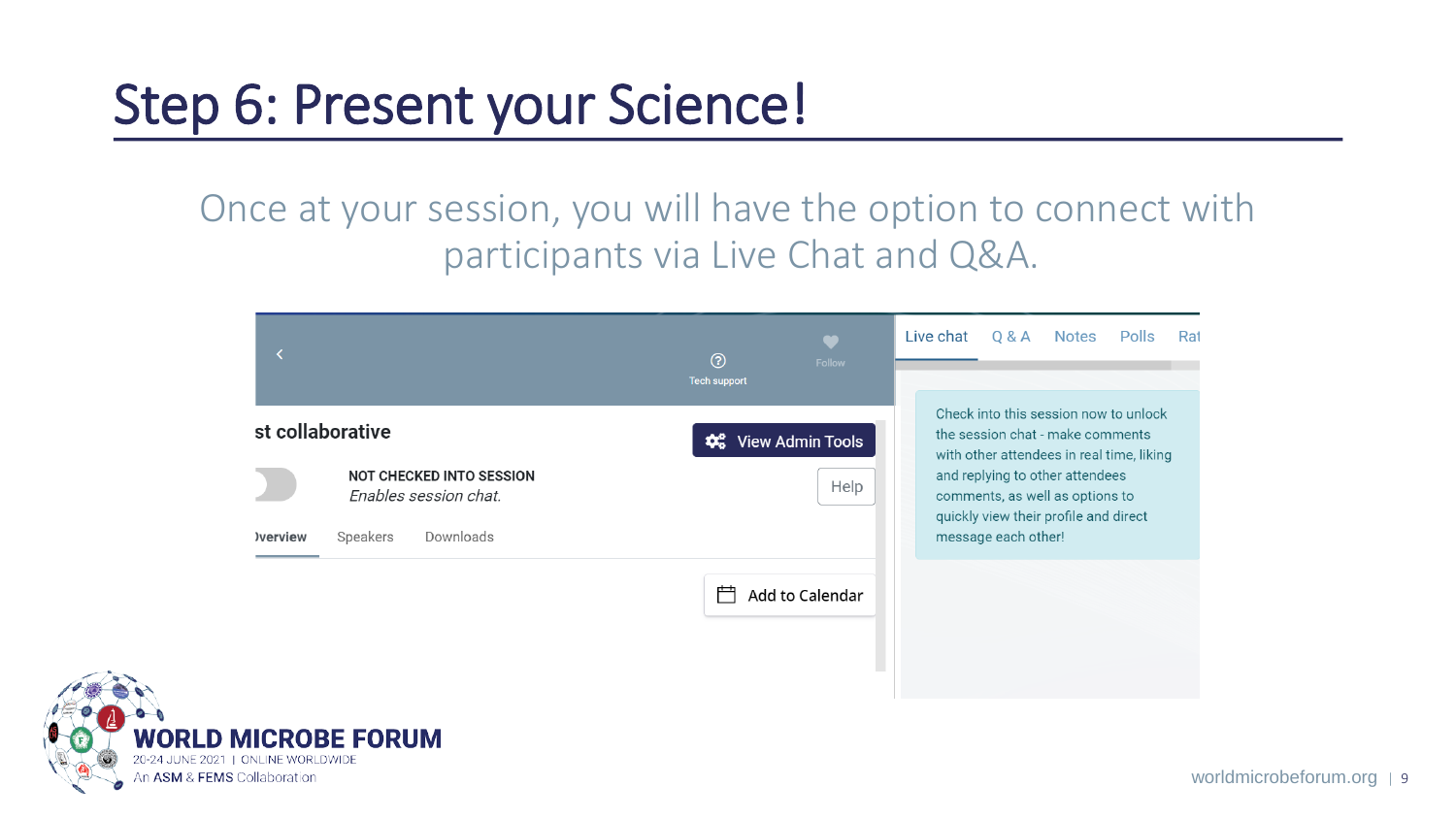### Step 6: Present your Science!

#### Once at your session, you will have the option to connect with participants via Live Chat and Q&A.



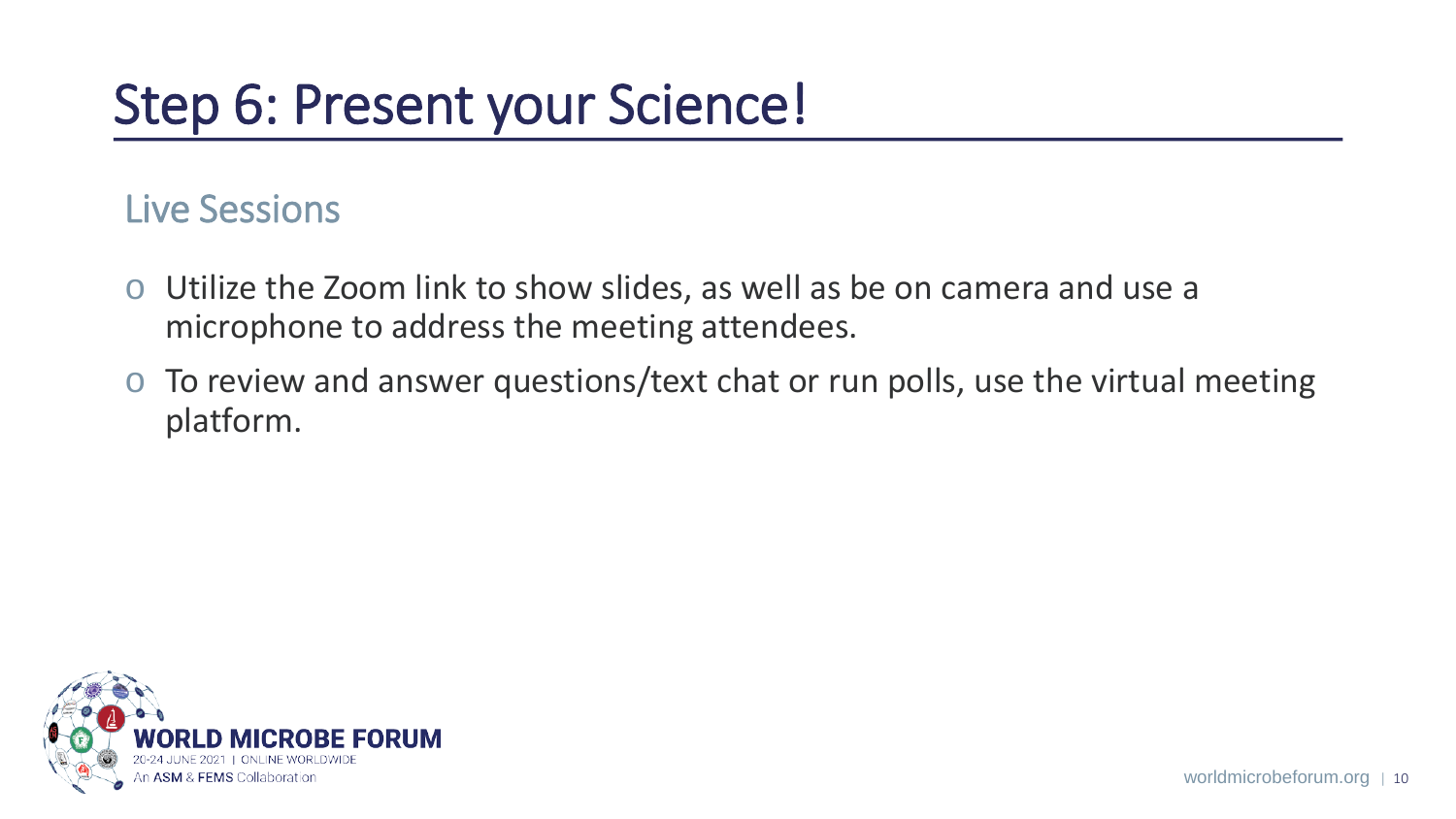## Step 6: Present your Science!

#### Live Sessions

- o Utilize the Zoom link to show slides, as well as be on camera and use a microphone to address the meeting attendees.
- o To review and answer questions/text chat or run polls, use the virtual meeting platform.

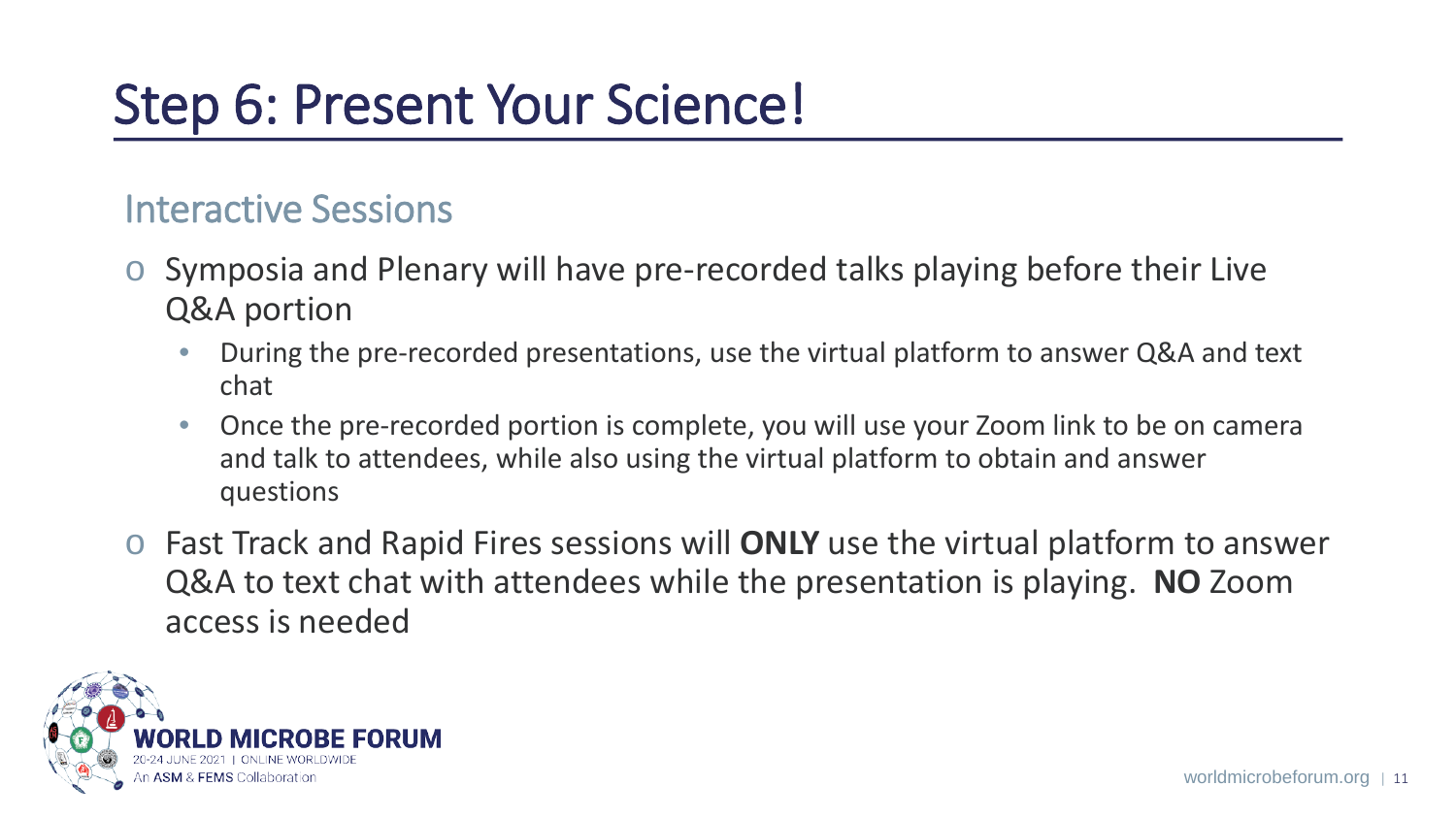## Step 6: Present Your Science!

#### Interactive Sessions

- o Symposia and Plenary will have pre-recorded talks playing before their Live Q&A portion
	- During the pre-recorded presentations, use the virtual platform to answer Q&A and text chat
	- Once the pre-recorded portion is complete, you will use your Zoom link to be on camera and talk to attendees, while also using the virtual platform to obtain and answer questions
- o Fast Track and Rapid Fires sessions will **ONLY** use the virtual platform to answer Q&A to text chat with attendees while the presentation is playing. **NO** Zoom access is needed